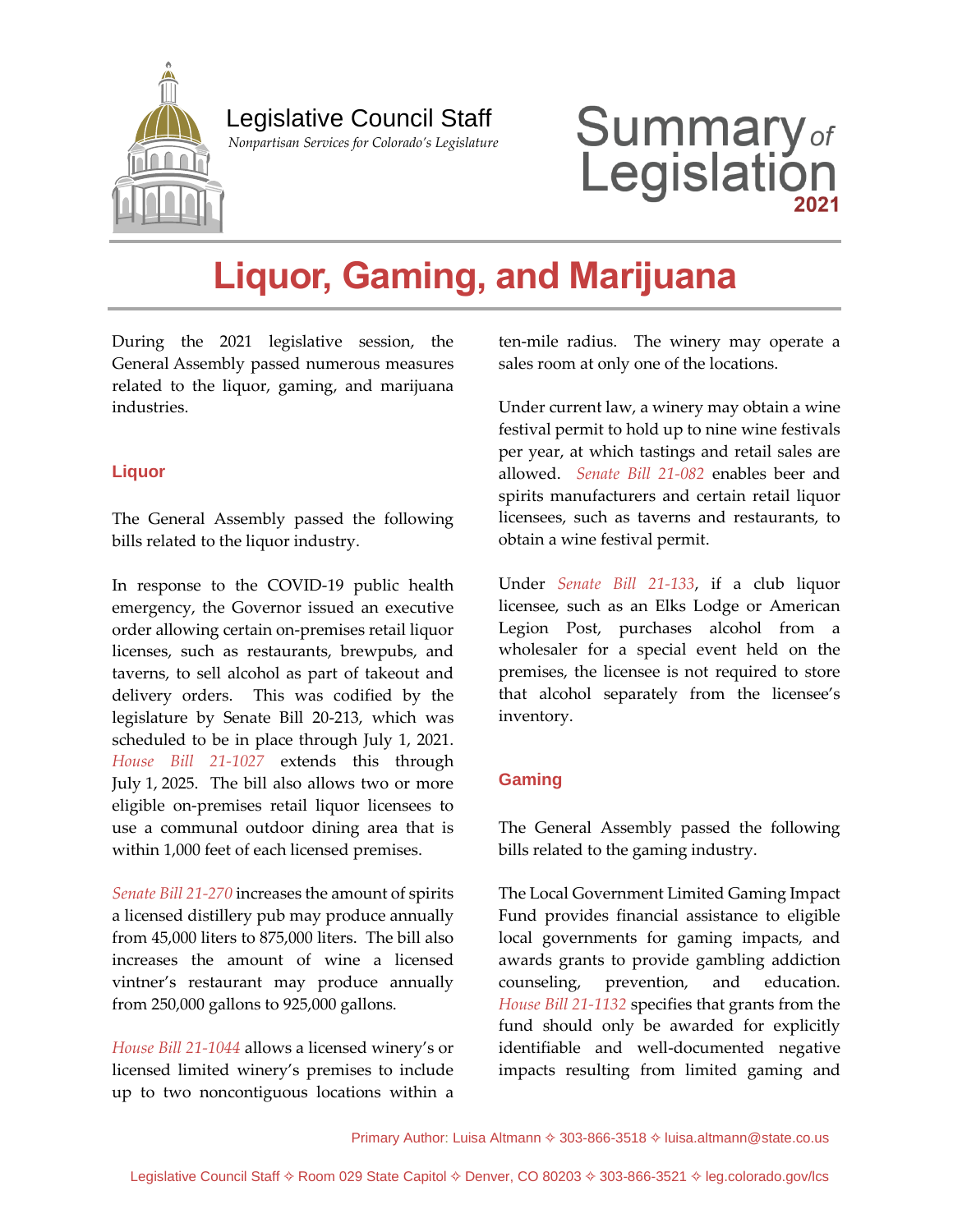

# Legislative Council Staff

 *Nonpartisan Services for Colorado's Legislature*

# **Summary**<sub>of</sub><br>Legislation

# **Liquor, Gaming, and Marijuana**

During the 2021 legislative session, the General Assembly passed numerous measures related to the liquor, gaming, and marijuana industries.

#### **Liquor**

The General Assembly passed the following bills related to the liquor industry.

In response to the COVID-19 public health emergency, the Governor issued an executive order allowing certain on-premises retail liquor licenses, such as restaurants, brewpubs, and taverns, to sell alcohol as part of takeout and delivery orders. This was codified by the legislature by Senate Bill 20-213, which was scheduled to be in place through July 1, 2021. *[House Bill 21-1027](http://leg.colorado.gov/bills/hb21-1027)* extends this through July 1, 2025. The bill also allows two or more eligible on-premises retail liquor licensees to use a communal outdoor dining area that is within 1,000 feet of each licensed premises.

*[Senate Bill 21-270](http://leg.colorado.gov/bills/sb21-270)* increases the amount of spirits a licensed distillery pub may produce annually from 45,000 liters to 875,000 liters. The bill also increases the amount of wine a licensed vintner's restaurant may produce annually from 250,000 gallons to 925,000 gallons.

*[House Bill 21-1044](http://leg.colorado.gov/bills/hb21-1044)* allows a licensed winery's or licensed limited winery's premises to include up to two noncontiguous locations within a

ten-mile radius. The winery may operate a sales room at only one of the locations.

Under current law, a winery may obtain a wine festival permit to hold up to nine wine festivals per year, at which tastings and retail sales are allowed. *[Senate Bill 21-082](http://leg.colorado.gov/bills/sb21-082)* enables beer and spirits manufacturers and certain retail liquor licensees, such as taverns and restaurants, to obtain a wine festival permit.

Under *[Senate Bill 21-133](http://leg.colorado.gov/bills/sb21-133)*, if a club liquor licensee, such as an Elks Lodge or American Legion Post, purchases alcohol from a wholesaler for a special event held on the premises, the licensee is not required to store that alcohol separately from the licensee's inventory.

#### **Gaming**

The General Assembly passed the following bills related to the gaming industry.

The Local Government Limited Gaming Impact Fund provides financial assistance to eligible local governments for gaming impacts, and awards grants to provide gambling addiction counseling, prevention, and education. *House [Bill 21-1132](http://leg.colorado.gov/bills/hb21-1132)* specifies that grants from the fund should only be awarded for explicitly identifiable and well-documented negative impacts resulting from limited gaming and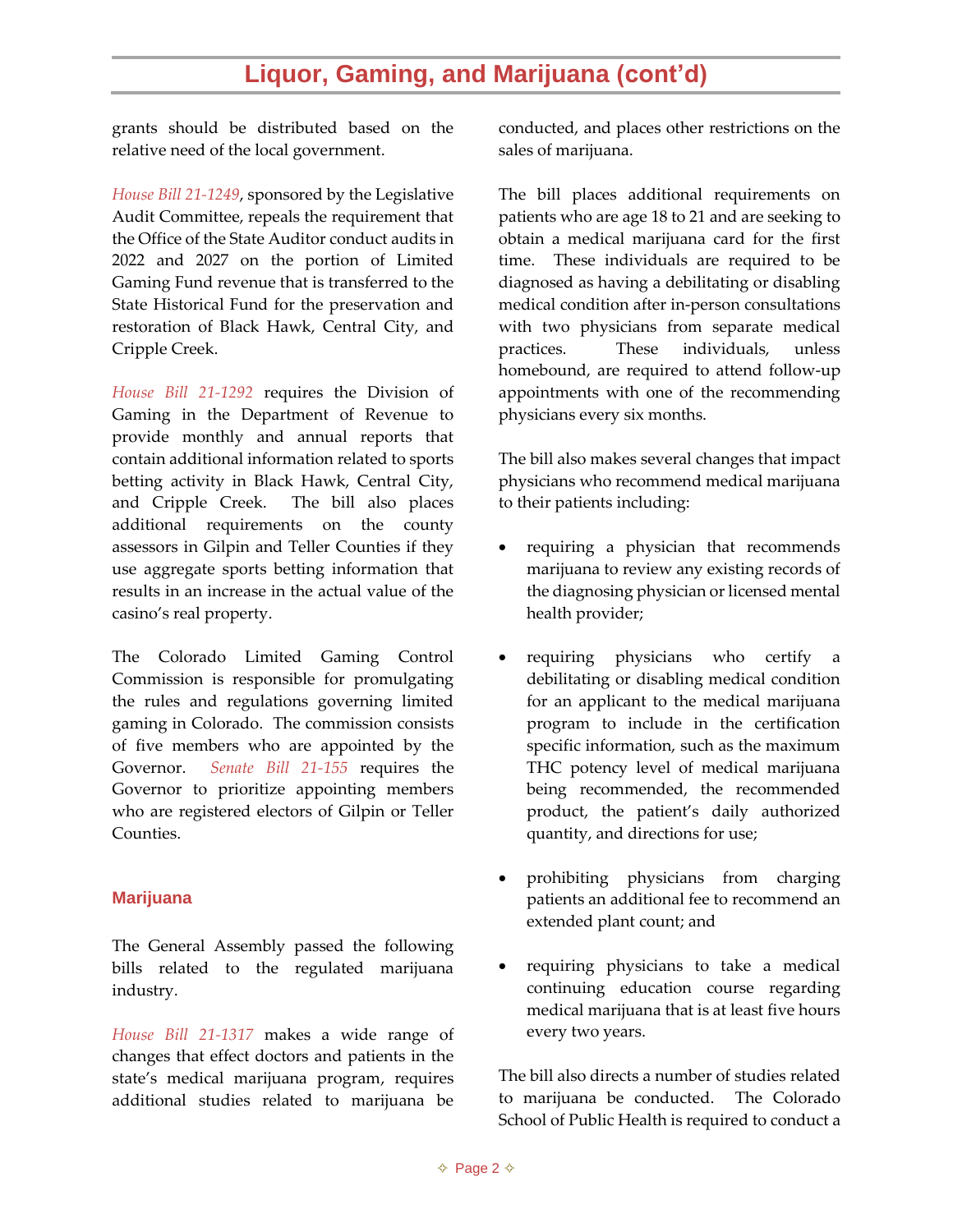### **Liquor, Gaming, and Marijuana (cont'd)**

grants should be distributed based on the relative need of the local government.

*[House Bill 21-1249](http://leg.colorado.gov/bills/hb21-1249)*, sponsored by the Legislative Audit Committee, repeals the requirement that the Office of the State Auditor conduct audits in 2022 and 2027 on the portion of Limited Gaming Fund revenue that is transferred to the State Historical Fund for the preservation and restoration of Black Hawk, Central City, and Cripple Creek.

*[House Bill 21-1292](http://leg.colorado.gov/bills/hb21-1292)* requires the Division of Gaming in the Department of Revenue to provide monthly and annual reports that contain additional information related to sports betting activity in Black Hawk, Central City, and Cripple Creek. The bill also places additional requirements on the county assessors in Gilpin and Teller Counties if they use aggregate sports betting information that results in an increase in the actual value of the casino's real property.

The Colorado Limited Gaming Control Commission is responsible for promulgating the rules and regulations governing limited gaming in Colorado. The commission consists of five members who are appointed by the Governor. *[Senate Bill 21-155](http://leg.colorado.gov/bills/sb21-155)* requires the Governor to prioritize appointing members who are registered electors of Gilpin or Teller Counties.

#### **Marijuana**

The General Assembly passed the following bills related to the regulated marijuana industry.

*[House Bill 21-1317](http://leg.colorado.gov/bills/hb21-1317)* makes a wide range of changes that effect doctors and patients in the state's medical marijuana program, requires additional studies related to marijuana be conducted, and places other restrictions on the sales of marijuana.

The bill places additional requirements on patients who are age 18 to 21 and are seeking to obtain a medical marijuana card for the first time. These individuals are required to be diagnosed as having a debilitating or disabling medical condition after in-person consultations with two physicians from separate medical practices. These individuals, unless homebound, are required to attend follow-up appointments with one of the recommending physicians every six months.

The bill also makes several changes that impact physicians who recommend medical marijuana to their patients including:

- requiring a physician that recommends marijuana to review any existing records of the diagnosing physician or licensed mental health provider;
- requiring physicians who certify a debilitating or disabling medical condition for an applicant to the medical marijuana program to include in the certification specific information, such as the maximum THC potency level of medical marijuana being recommended, the recommended product, the patient's daily authorized quantity, and directions for use;
- prohibiting physicians from charging patients an additional fee to recommend an extended plant count; and
- requiring physicians to take a medical continuing education course regarding medical marijuana that is at least five hours every two years.

The bill also directs a number of studies related to marijuana be conducted. The Colorado School of Public Health is required to conduct a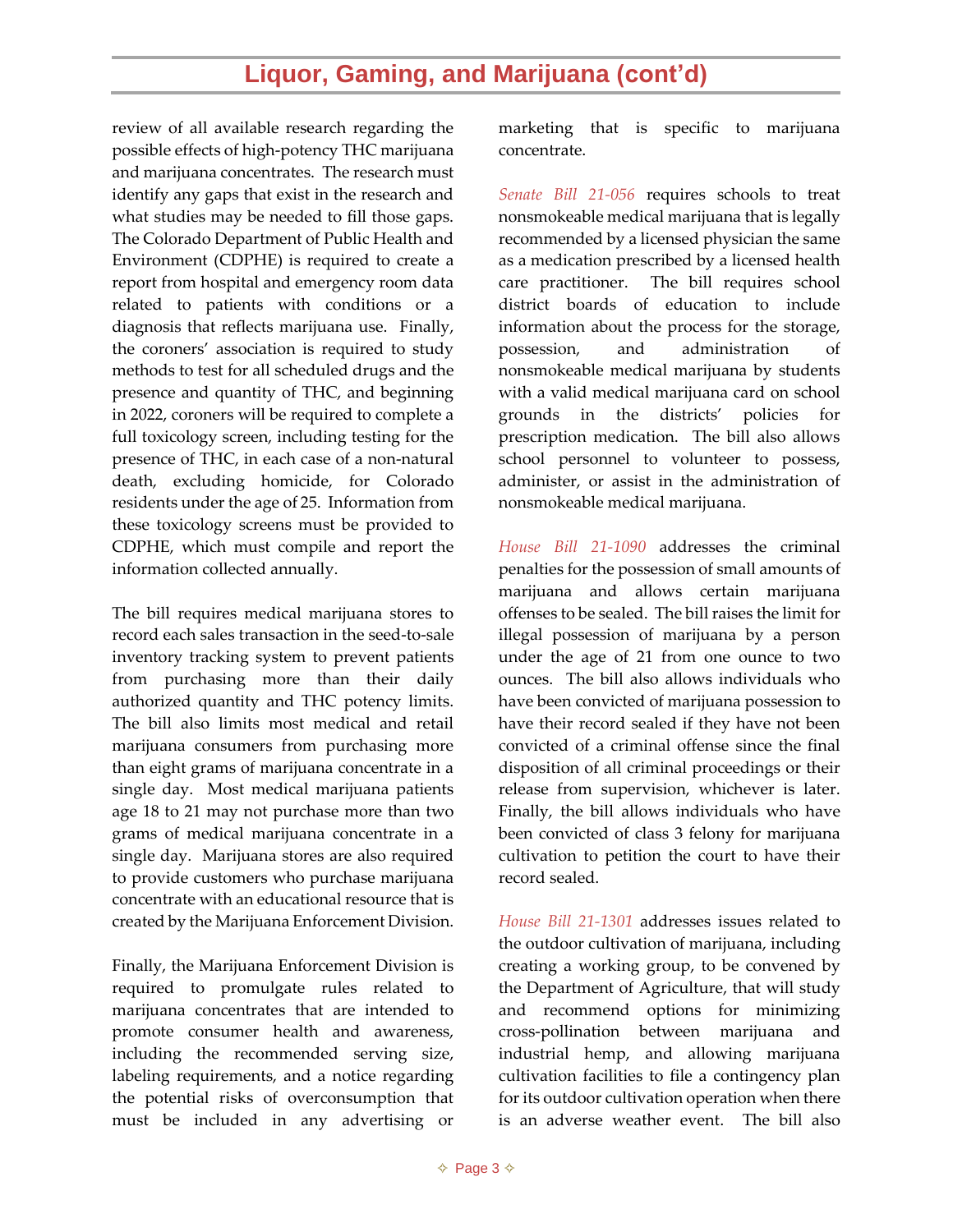# **Liquor, Gaming, and Marijuana (cont'd)**

review of all available research regarding the possible effects of high-potency THC marijuana and marijuana concentrates. The research must identify any gaps that exist in the research and what studies may be needed to fill those gaps. The Colorado Department of Public Health and Environment (CDPHE) is required to create a report from hospital and emergency room data related to patients with conditions or a diagnosis that reflects marijuana use. Finally, the coroners' association is required to study methods to test for all scheduled drugs and the presence and quantity of THC, and beginning in 2022, coroners will be required to complete a full toxicology screen, including testing for the presence of THC, in each case of a non-natural death, excluding homicide, for Colorado residents under the age of 25. Information from these toxicology screens must be provided to CDPHE, which must compile and report the information collected annually.

The bill requires medical marijuana stores to record each sales transaction in the seed-to-sale inventory tracking system to prevent patients from purchasing more than their daily authorized quantity and THC potency limits. The bill also limits most medical and retail marijuana consumers from purchasing more than eight grams of marijuana concentrate in a single day. Most medical marijuana patients age 18 to 21 may not purchase more than two grams of medical marijuana concentrate in a single day. Marijuana stores are also required to provide customers who purchase marijuana concentrate with an educational resource that is created by the Marijuana Enforcement Division.

Finally, the Marijuana Enforcement Division is required to promulgate rules related to marijuana concentrates that are intended to promote consumer health and awareness, including the recommended serving size, labeling requirements, and a notice regarding the potential risks of overconsumption that must be included in any advertising or

marketing that is specific to marijuana concentrate.

*[Senate Bill 21-056](http://leg.colorado.gov/bills/sb21-056)* requires schools to treat nonsmokeable medical marijuana that is legally recommended by a licensed physician the same as a medication prescribed by a licensed health care practitioner. The bill requires school district boards of education to include information about the process for the storage, possession, and administration of nonsmokeable medical marijuana by students with a valid medical marijuana card on school grounds in the districts' policies for prescription medication. The bill also allows school personnel to volunteer to possess, administer, or assist in the administration of nonsmokeable medical marijuana.

*[House Bill 21-1090](http://leg.colorado.gov/bills/hb21-1090)* addresses the criminal penalties for the possession of small amounts of marijuana and allows certain marijuana offenses to be sealed. The bill raises the limit for illegal possession of marijuana by a person under the age of 21 from one ounce to two ounces. The bill also allows individuals who have been convicted of marijuana possession to have their record sealed if they have not been convicted of a criminal offense since the final disposition of all criminal proceedings or their release from supervision, whichever is later. Finally, the bill allows individuals who have been convicted of class 3 felony for marijuana cultivation to petition the court to have their record sealed.

*[House Bill 21-1301](http://leg.colorado.gov/bills/hb21-1301)* addresses issues related to the outdoor cultivation of marijuana, including creating a working group, to be convened by the Department of Agriculture, that will study and recommend options for minimizing cross-pollination between marijuana and industrial hemp, and allowing marijuana cultivation facilities to file a contingency plan for its outdoor cultivation operation when there is an adverse weather event. The bill also